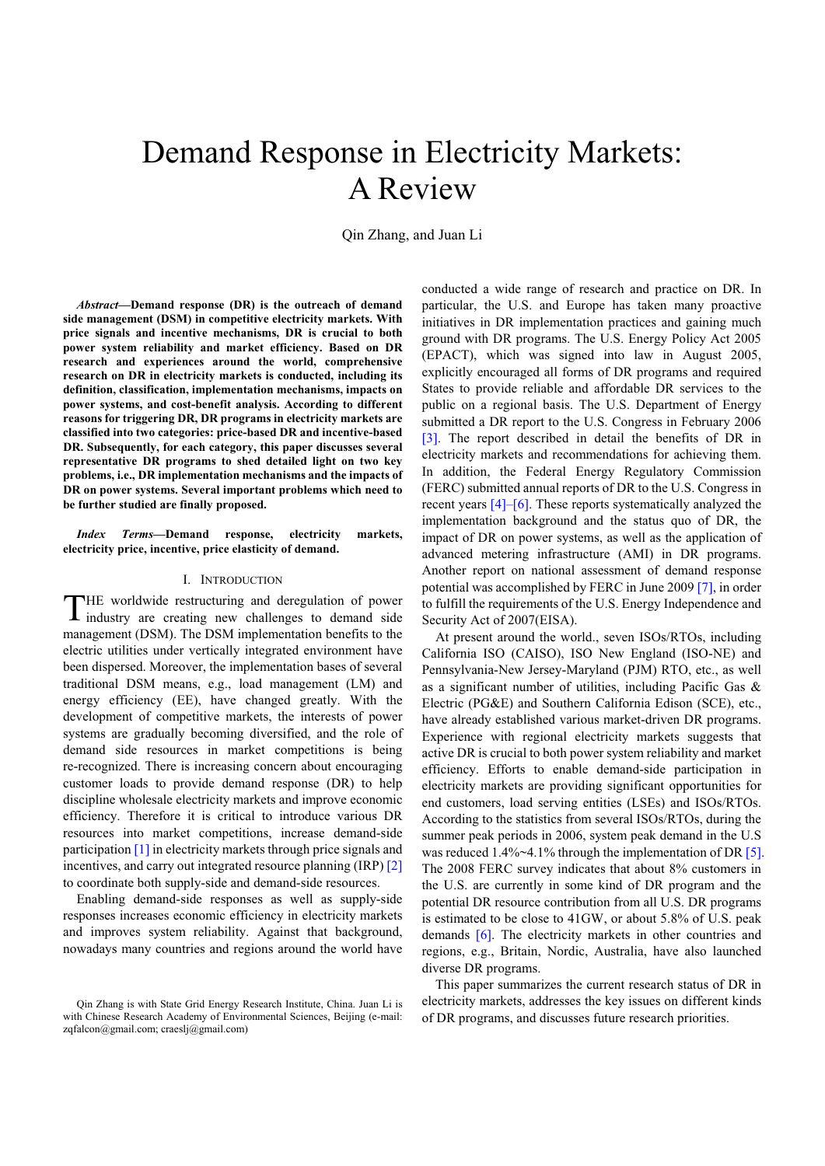# Demand Response in Electricity Markets: A Review

Qin Zhang, and Juan Li

*Abstract***—Demand response (DR) is the outreach of demand side management (DSM) in competitive electricity markets. With price signals and incentive mechanisms, DR is crucial to both power system reliability and market efficiency. Based on DR research and experiences around the world, comprehensive research on DR in electricity markets is conducted, including its definition, classification, implementation mechanisms, impacts on power systems, and cost-benefit analysis. According to different reasons for triggering DR, DR programs in electricity markets are classified into two categories: price-based DR and incentive-based DR. Subsequently, for each category, this paper discusses several representative DR programs to shed detailed light on two key problems, i.e., DR implementation mechanisms and the impacts of DR on power systems. Several important problems which need to be further studied are finally proposed.**-

*Index Terms***—Demand response, electricity markets, electricity price, incentive, price elasticity of demand.** 

#### I. INTRODUCTION

HE worldwide restructuring and deregulation of power THE worldwide restructuring and deregulation of power<br>industry are creating new challenges to demand side management (DSM). The DSM implementation benefits to the electric utilities under vertically integrated environment have been dispersed. Moreover, the implementation bases of several traditional DSM means, e.g., load management (LM) and energy efficiency (EE), have changed greatly. With the development of competitive markets, the interests of power systems are gradually becoming diversified, and the role of demand side resources in market competitions is being re-recognized. There is increasing concern about encouraging customer loads to provide demand response (DR) to help discipline wholesale electricity markets and improve economic efficiency. Therefore it is critical to introduce various DR resources into market competitions, increase demand-side participation [1] in electricity markets through price signals and incentives, and carry out integrated resource planning (IRP) [2] to coordinate both supply-side and demand-side resources.

Enabling demand-side responses as well as supply-side responses increases economic efficiency in electricity markets and improves system reliability. Against that background, nowadays many countries and regions around the world have conducted a wide range of research and practice on DR. In particular, the U.S. and Europe has taken many proactive initiatives in DR implementation practices and gaining much ground with DR programs. The U.S. Energy Policy Act 2005 (EPACT), which was signed into law in August 2005, explicitly encouraged all forms of DR programs and required States to provide reliable and affordable DR services to the public on a regional basis. The U.S. Department of Energy submitted a DR report to the U.S. Congress in February 2006 [3]. The report described in detail the benefits of DR in electricity markets and recommendations for achieving them. In addition, the Federal Energy Regulatory Commission (FERC) submitted annual reports of DR to the U.S. Congress in recent years [4]–[6]. These reports systematically analyzed the implementation background and the status quo of DR, the impact of DR on power systems, as well as the application of advanced metering infrastructure (AMI) in DR programs. Another report on national assessment of demand response potential was accomplished by FERC in June 2009 [7], in order to fulfill the requirements of the U.S. Energy Independence and Security Act of 2007(EISA).

At present around the world., seven ISOs/RTOs, including California ISO (CAISO), ISO New England (ISO-NE) and Pennsylvania-New Jersey-Maryland (PJM) RTO, etc., as well as a significant number of utilities, including Pacific Gas & Electric (PG&E) and Southern California Edison (SCE), etc., have already established various market-driven DR programs. Experience with regional electricity markets suggests that active DR is crucial to both power system reliability and market efficiency. Efforts to enable demand-side participation in electricity markets are providing significant opportunities for end customers, load serving entities (LSEs) and ISOs/RTOs. According to the statistics from several ISOs/RTOs, during the summer peak periods in 2006, system peak demand in the U.S was reduced 1.4%~4.1% through the implementation of DR [5]. The 2008 FERC survey indicates that about 8% customers in the U.S. are currently in some kind of DR program and the potential DR resource contribution from all U.S. DR programs is estimated to be close to 41GW, or about 5.8% of U.S. peak demands [6]. The electricity markets in other countries and regions, e.g., Britain, Nordic, Australia, have also launched diverse DR programs.

This paper summarizes the current research status of DR in electricity markets, addresses the key issues on different kinds of DR programs, and discusses future research priorities.

Qin Zhang is with State Grid Energy Research Institute, China. Juan Li is with Chinese Research Academy of Environmental Sciences, Beijing (e-mail: zqfalcon@gmail.com; craeslj@gmail.com)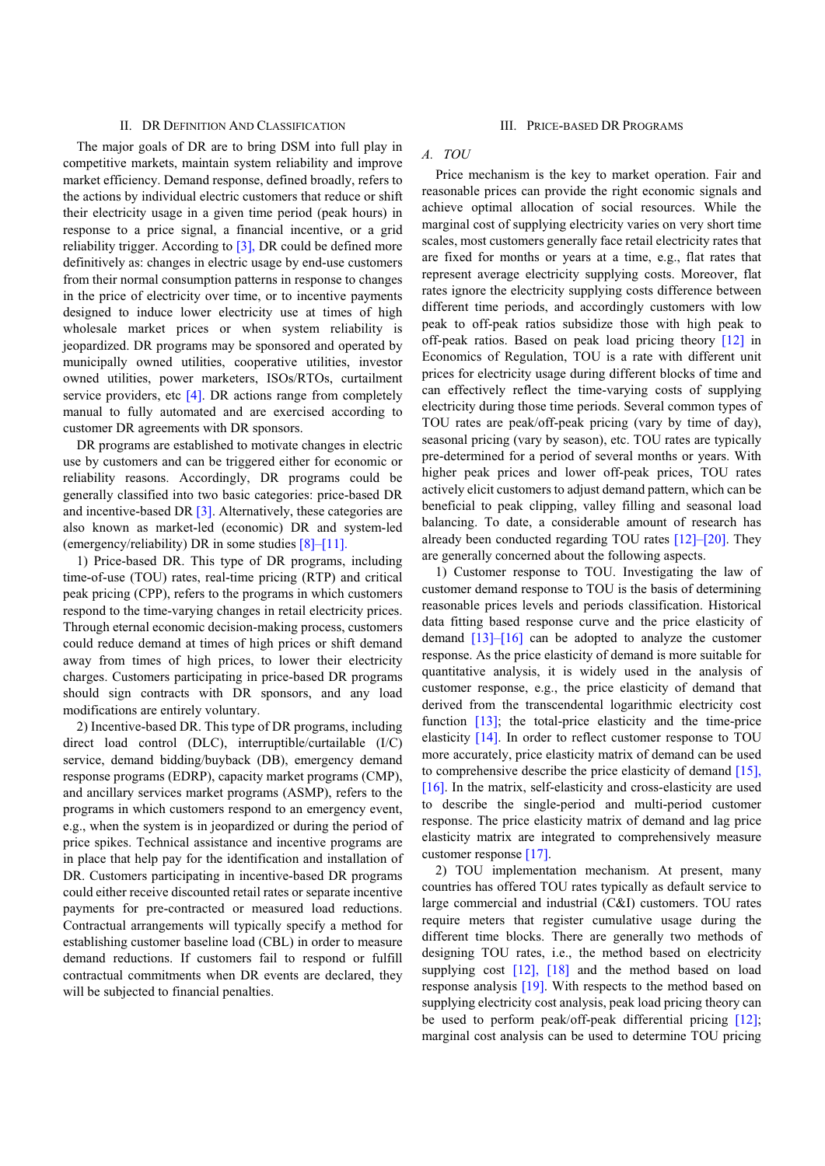## II. DR DEFINITION AND CLASSIFICATION

The major goals of DR are to bring DSM into full play in competitive markets, maintain system reliability and improve market efficiency. Demand response, defined broadly, refers to the actions by individual electric customers that reduce or shift their electricity usage in a given time period (peak hours) in response to a price signal, a financial incentive, or a grid reliability trigger. According to  $[3]$ , DR could be defined more definitively as: changes in electric usage by end-use customers from their normal consumption patterns in response to changes in the price of electricity over time, or to incentive payments designed to induce lower electricity use at times of high wholesale market prices or when system reliability is jeopardized. DR programs may be sponsored and operated by municipally owned utilities, cooperative utilities, investor owned utilities, power marketers, ISOs/RTOs, curtailment service providers, etc  $[4]$ . DR actions range from completely manual to fully automated and are exercised according to customer DR agreements with DR sponsors.

DR programs are established to motivate changes in electric use by customers and can be triggered either for economic or reliability reasons. Accordingly, DR programs could be generally classified into two basic categories: price-based DR and incentive-based DR [3]. Alternatively, these categories are also known as market-led (economic) DR and system-led (emergency/reliability) DR in some studies [8]–[11].

1) Price-based DR. This type of DR programs, including time-of-use (TOU) rates, real-time pricing (RTP) and critical peak pricing (CPP), refers to the programs in which customers respond to the time-varying changes in retail electricity prices. Through eternal economic decision-making process, customers could reduce demand at times of high prices or shift demand away from times of high prices, to lower their electricity charges. Customers participating in price-based DR programs should sign contracts with DR sponsors, and any load modifications are entirely voluntary.

2) Incentive-based DR. This type of DR programs, including direct load control (DLC), interruptible/curtailable (I/C) service, demand bidding/buyback (DB), emergency demand response programs (EDRP), capacity market programs (CMP), and ancillary services market programs (ASMP), refers to the programs in which customers respond to an emergency event, e.g., when the system is in jeopardized or during the period of price spikes. Technical assistance and incentive programs are in place that help pay for the identification and installation of DR. Customers participating in incentive-based DR programs could either receive discounted retail rates or separate incentive payments for pre-contracted or measured load reductions. Contractual arrangements will typically specify a method for establishing customer baseline load (CBL) in order to measure demand reductions. If customers fail to respond or fulfill contractual commitments when DR events are declared, they will be subjected to financial penalties.

#### III. PRICE-BASED DR PROGRAMS

*A. TOU* 

Price mechanism is the key to market operation. Fair and reasonable prices can provide the right economic signals and achieve optimal allocation of social resources. While the marginal cost of supplying electricity varies on very short time scales, most customers generally face retail electricity rates that are fixed for months or years at a time, e.g., flat rates that represent average electricity supplying costs. Moreover, flat rates ignore the electricity supplying costs difference between different time periods, and accordingly customers with low peak to off-peak ratios subsidize those with high peak to off-peak ratios. Based on peak load pricing theory [12] in Economics of Regulation, TOU is a rate with different unit prices for electricity usage during different blocks of time and can effectively reflect the time-varying costs of supplying electricity during those time periods. Several common types of TOU rates are peak/off-peak pricing (vary by time of day), seasonal pricing (vary by season), etc. TOU rates are typically pre-determined for a period of several months or years. With higher peak prices and lower off-peak prices, TOU rates actively elicit customers to adjust demand pattern, which can be beneficial to peak clipping, valley filling and seasonal load balancing. To date, a considerable amount of research has already been conducted regarding TOU rates [12]–[20]. They are generally concerned about the following aspects.

1) Customer response to TOU. Investigating the law of customer demand response to TOU is the basis of determining reasonable prices levels and periods classification. Historical data fitting based response curve and the price elasticity of demand [13]–[16] can be adopted to analyze the customer response. As the price elasticity of demand is more suitable for quantitative analysis, it is widely used in the analysis of customer response, e.g., the price elasticity of demand that derived from the transcendental logarithmic electricity cost function [13]; the total-price elasticity and the time-price elasticity [14]. In order to reflect customer response to TOU more accurately, price elasticity matrix of demand can be used to comprehensive describe the price elasticity of demand [15], [16]. In the matrix, self-elasticity and cross-elasticity are used to describe the single-period and multi-period customer response. The price elasticity matrix of demand and lag price elasticity matrix are integrated to comprehensively measure customer response [17].

2) TOU implementation mechanism. At present, many countries has offered TOU rates typically as default service to large commercial and industrial (C&I) customers. TOU rates require meters that register cumulative usage during the different time blocks. There are generally two methods of designing TOU rates, i.e., the method based on electricity supplying cost [12], [18] and the method based on load response analysis [19]. With respects to the method based on supplying electricity cost analysis, peak load pricing theory can be used to perform peak/off-peak differential pricing [12]; marginal cost analysis can be used to determine TOU pricing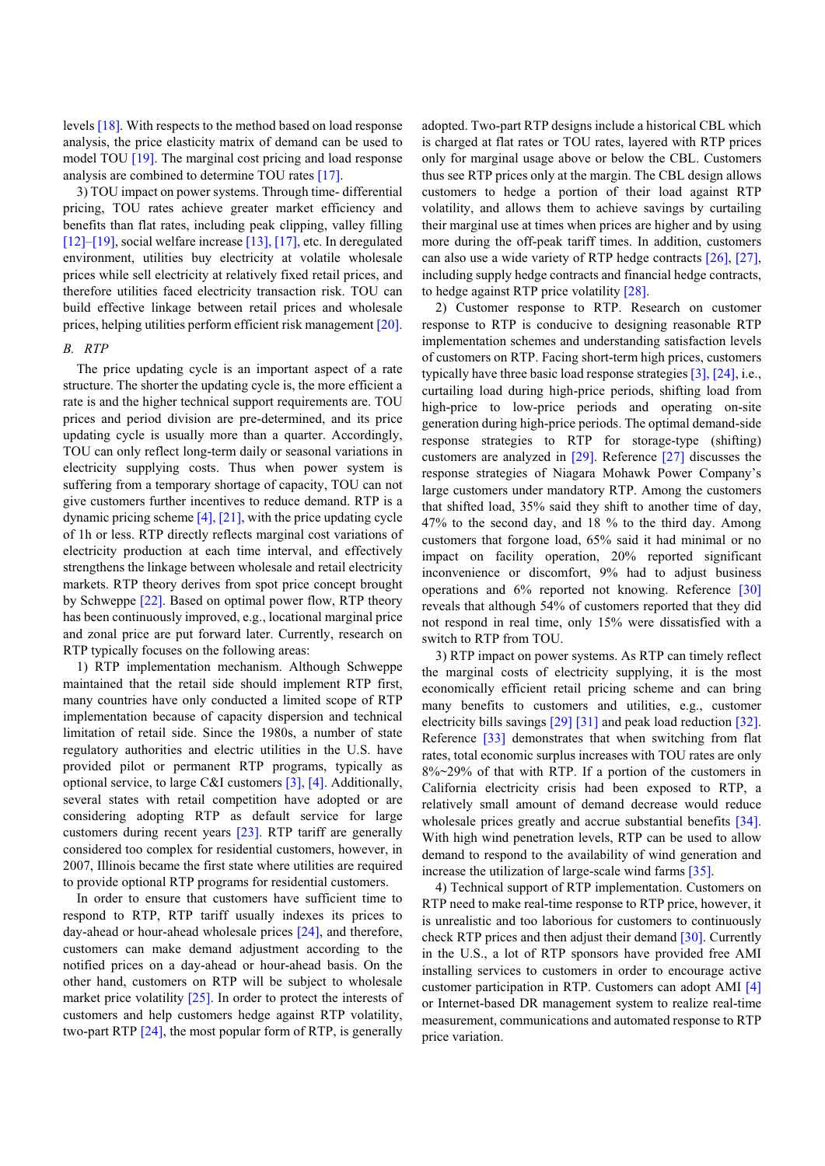levels [18]. With respects to the method based on load response analysis, the price elasticity matrix of demand can be used to model TOU <a>[19]</a>. The marginal cost pricing and load response analysis are combined to determine TOU rates [17].

3) TOU impact on power systems. Through time- differential pricing, TOU rates achieve greater market efficiency and benefits than flat rates, including peak clipping, valley filling [12]–[19], social welfare increase [13], [17], etc. In deregulated environment, utilities buy electricity at volatile wholesale prices while sell electricity at relatively fixed retail prices, and therefore utilities faced electricity transaction risk. TOU can build effective linkage between retail prices and wholesale prices, helping utilities perform efficient risk management [20].

#### *B. RTP*

The price updating cycle is an important aspect of a rate structure. The shorter the updating cycle is, the more efficient a rate is and the higher technical support requirements are. TOU prices and period division are pre-determined, and its price updating cycle is usually more than a quarter. Accordingly, TOU can only reflect long-term daily or seasonal variations in electricity supplying costs. Thus when power system is suffering from a temporary shortage of capacity, TOU can not give customers further incentives to reduce demand. RTP is a dynamic pricing scheme [4], [21], with the price updating cycle of 1h or less. RTP directly reflects marginal cost variations of electricity production at each time interval, and effectively strengthens the linkage between wholesale and retail electricity markets. RTP theory derives from spot price concept brought by Schweppe [22]. Based on optimal power flow, RTP theory has been continuously improved, e.g., locational marginal price and zonal price are put forward later. Currently, research on RTP typically focuses on the following areas:

1) RTP implementation mechanism. Although Schweppe maintained that the retail side should implement RTP first, many countries have only conducted a limited scope of RTP implementation because of capacity dispersion and technical limitation of retail side. Since the 1980s, a number of state regulatory authorities and electric utilities in the U.S. have provided pilot or permanent RTP programs, typically as optional service, to large C&I customers [3], [4]. Additionally, several states with retail competition have adopted or are considering adopting RTP as default service for large customers during recent years [23]. RTP tariff are generally considered too complex for residential customers, however, in 2007, Illinois became the first state where utilities are required to provide optional RTP programs for residential customers.

In order to ensure that customers have sufficient time to respond to RTP, RTP tariff usually indexes its prices to day-ahead or hour-ahead wholesale prices [24], and therefore, customers can make demand adjustment according to the notified prices on a day-ahead or hour-ahead basis. On the other hand, customers on RTP will be subject to wholesale market price volatility  $[25]$ . In order to protect the interests of customers and help customers hedge against RTP volatility, two-part RTP [24], the most popular form of RTP, is generally adopted. Two-part RTP designs include a historical CBL which is charged at flat rates or TOU rates, layered with RTP prices only for marginal usage above or below the CBL. Customers thus see RTP prices only at the margin. The CBL design allows customers to hedge a portion of their load against RTP volatility, and allows them to achieve savings by curtailing their marginal use at times when prices are higher and by using more during the off-peak tariff times. In addition, customers can also use a wide variety of RTP hedge contracts [26], [27], including supply hedge contracts and financial hedge contracts, to hedge against RTP price volatility [28].

2) Customer response to RTP. Research on customer response to RTP is conducive to designing reasonable RTP implementation schemes and understanding satisfaction levels of customers on RTP. Facing short-term high prices, customers typically have three basic load response strategies [3], [24], i.e., curtailing load during high-price periods, shifting load from high-price to low-price periods and operating on-site generation during high-price periods. The optimal demand-side response strategies to RTP for storage-type (shifting) customers are analyzed in [29]. Reference [27] discusses the response strategies of Niagara Mohawk Power Company's large customers under mandatory RTP. Among the customers that shifted load, 35% said they shift to another time of day, 47% to the second day, and 18 % to the third day. Among customers that forgone load, 65% said it had minimal or no impact on facility operation, 20% reported significant inconvenience or discomfort, 9% had to adjust business operations and 6% reported not knowing. Reference [30] reveals that although 54% of customers reported that they did not respond in real time, only 15% were dissatisfied with a switch to RTP from TOU.

3) RTP impact on power systems. As RTP can timely reflect the marginal costs of electricity supplying, it is the most economically efficient retail pricing scheme and can bring many benefits to customers and utilities, e.g., customer electricity bills savings [29] [31] and peak load reduction [32]. Reference [33] demonstrates that when switching from flat rates, total economic surplus increases with TOU rates are only 8%~29% of that with RTP. If a portion of the customers in California electricity crisis had been exposed to RTP, a relatively small amount of demand decrease would reduce wholesale prices greatly and accrue substantial benefits [34]. With high wind penetration levels, RTP can be used to allow demand to respond to the availability of wind generation and increase the utilization of large-scale wind farms [35].

4) Technical support of RTP implementation. Customers on RTP need to make real-time response to RTP price, however, it is unrealistic and too laborious for customers to continuously check RTP prices and then adjust their demand [30]. Currently in the U.S., a lot of RTP sponsors have provided free AMI installing services to customers in order to encourage active customer participation in RTP. Customers can adopt AMI [4] or Internet-based DR management system to realize real-time measurement, communications and automated response to RTP price variation.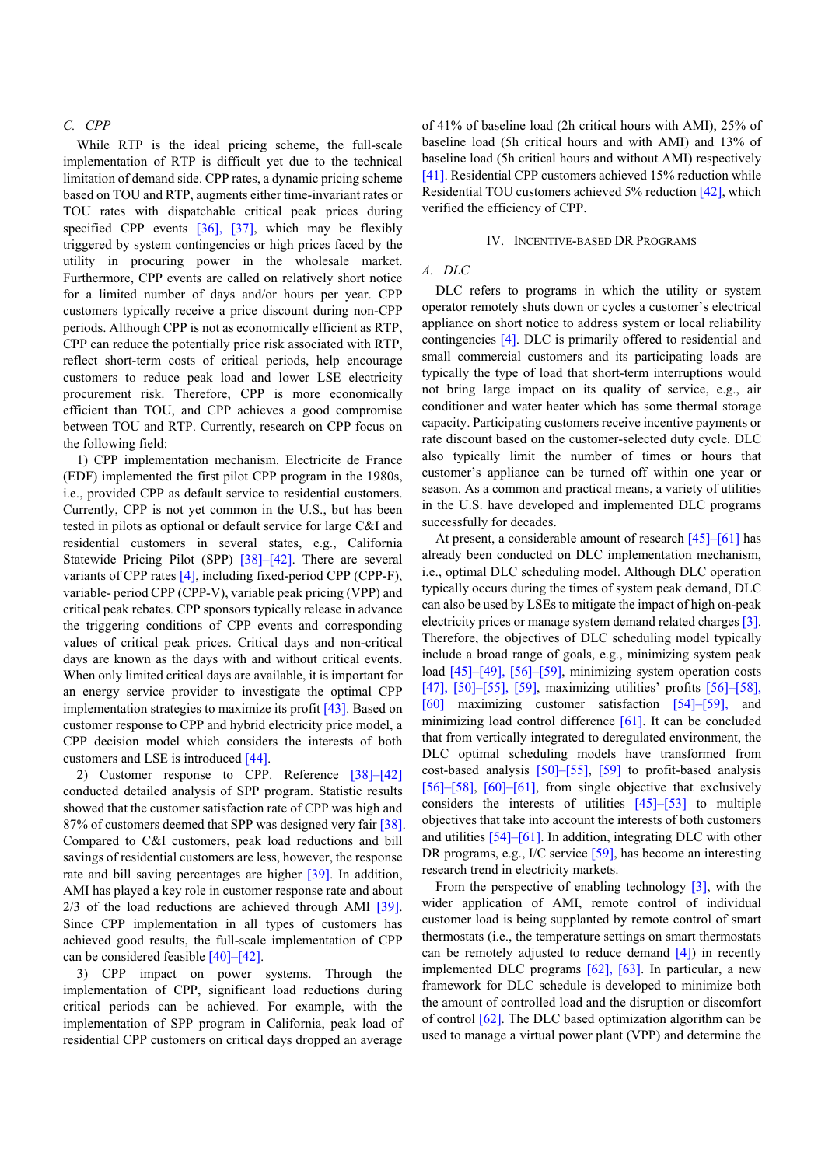#### *C. CPP*

While RTP is the ideal pricing scheme, the full-scale implementation of RTP is difficult yet due to the technical limitation of demand side. CPP rates, a dynamic pricing scheme based on TOU and RTP, augments either time-invariant rates or TOU rates with dispatchable critical peak prices during specified CPP events [36], [37], which may be flexibly triggered by system contingencies or high prices faced by the utility in procuring power in the wholesale market. Furthermore, CPP events are called on relatively short notice for a limited number of days and/or hours per year. CPP customers typically receive a price discount during non-CPP periods. Although CPP is not as economically efficient as RTP, CPP can reduce the potentially price risk associated with RTP, reflect short-term costs of critical periods, help encourage customers to reduce peak load and lower LSE electricity procurement risk. Therefore, CPP is more economically efficient than TOU, and CPP achieves a good compromise between TOU and RTP. Currently, research on CPP focus on the following field:

1) CPP implementation mechanism. Electricite de France (EDF) implemented the first pilot CPP program in the 1980s, i.e., provided CPP as default service to residential customers. Currently, CPP is not yet common in the U.S., but has been tested in pilots as optional or default service for large C&I and residential customers in several states, e.g., California Statewide Pricing Pilot (SPP) [38]–[42]. There are several variants of CPP rates [4], including fixed-period CPP (CPP-F), variable- period CPP (CPP-V), variable peak pricing (VPP) and critical peak rebates. CPP sponsors typically release in advance the triggering conditions of CPP events and corresponding values of critical peak prices. Critical days and non-critical days are known as the days with and without critical events. When only limited critical days are available, it is important for an energy service provider to investigate the optimal CPP implementation strategies to maximize its profit [43]. Based on customer response to CPP and hybrid electricity price model, a CPP decision model which considers the interests of both customers and LSE is introduced [44].

2) Customer response to CPP. Reference [38]–[42] conducted detailed analysis of SPP program. Statistic results showed that the customer satisfaction rate of CPP was high and 87% of customers deemed that SPP was designed very fair [38]. Compared to C&I customers, peak load reductions and bill savings of residential customers are less, however, the response rate and bill saving percentages are higher [39]. In addition, AMI has played a key role in customer response rate and about 2/3 of the load reductions are achieved through AMI [39]. Since CPP implementation in all types of customers has achieved good results, the full-scale implementation of CPP can be considered feasible  $[40]$ – $[42]$ .

3) CPP impact on power systems. Through the implementation of CPP, significant load reductions during critical periods can be achieved. For example, with the implementation of SPP program in California, peak load of residential CPP customers on critical days dropped an average of 41% of baseline load (2h critical hours with AMI), 25% of baseline load (5h critical hours and with AMI) and 13% of baseline load (5h critical hours and without AMI) respectively [41]. Residential CPP customers achieved 15% reduction while Residential TOU customers achieved 5% reduction [42], which verified the efficiency of CPP.

#### IV. INCENTIVE-BASED DR PROGRAMS

## *A. DLC*

DLC refers to programs in which the utility or system operator remotely shuts down or cycles a customer's electrical appliance on short notice to address system or local reliability contingencies [4]. DLC is primarily offered to residential and small commercial customers and its participating loads are typically the type of load that short-term interruptions would not bring large impact on its quality of service, e.g., air conditioner and water heater which has some thermal storage capacity. Participating customers receive incentive payments or rate discount based on the customer-selected duty cycle. DLC also typically limit the number of times or hours that customer's appliance can be turned off within one year or season. As a common and practical means, a variety of utilities in the U.S. have developed and implemented DLC programs successfully for decades.

At present, a considerable amount of research [45]–[61] has already been conducted on DLC implementation mechanism, i.e., optimal DLC scheduling model. Although DLC operation typically occurs during the times of system peak demand, DLC can also be used by LSEs to mitigate the impact of high on-peak electricity prices or manage system demand related charges [3]. Therefore, the objectives of DLC scheduling model typically include a broad range of goals, e.g., minimizing system peak load [45]–[49], [56]–[59], minimizing system operation costs [47], [50]–[55], [59], maximizing utilities' profits [56]–[58], [60] maximizing customer satisfaction [54]–[59], and minimizing load control difference [61]. It can be concluded that from vertically integrated to deregulated environment, the DLC optimal scheduling models have transformed from cost-based analysis [50]–[55], [59] to profit-based analysis [56]–[58], [60]–[61], from single objective that exclusively considers the interests of utilities  $[45]$ – $[53]$  to multiple objectives that take into account the interests of both customers and utilities [54]–[61]. In addition, integrating DLC with other DR programs, e.g., I/C service [59], has become an interesting research trend in electricity markets.

From the perspective of enabling technology [3], with the wider application of AMI, remote control of individual customer load is being supplanted by remote control of smart thermostats (i.e., the temperature settings on smart thermostats can be remotely adjusted to reduce demand [4]) in recently implemented DLC programs [62], [63]. In particular, a new framework for DLC schedule is developed to minimize both the amount of controlled load and the disruption or discomfort of control [62]. The DLC based optimization algorithm can be used to manage a virtual power plant (VPP) and determine the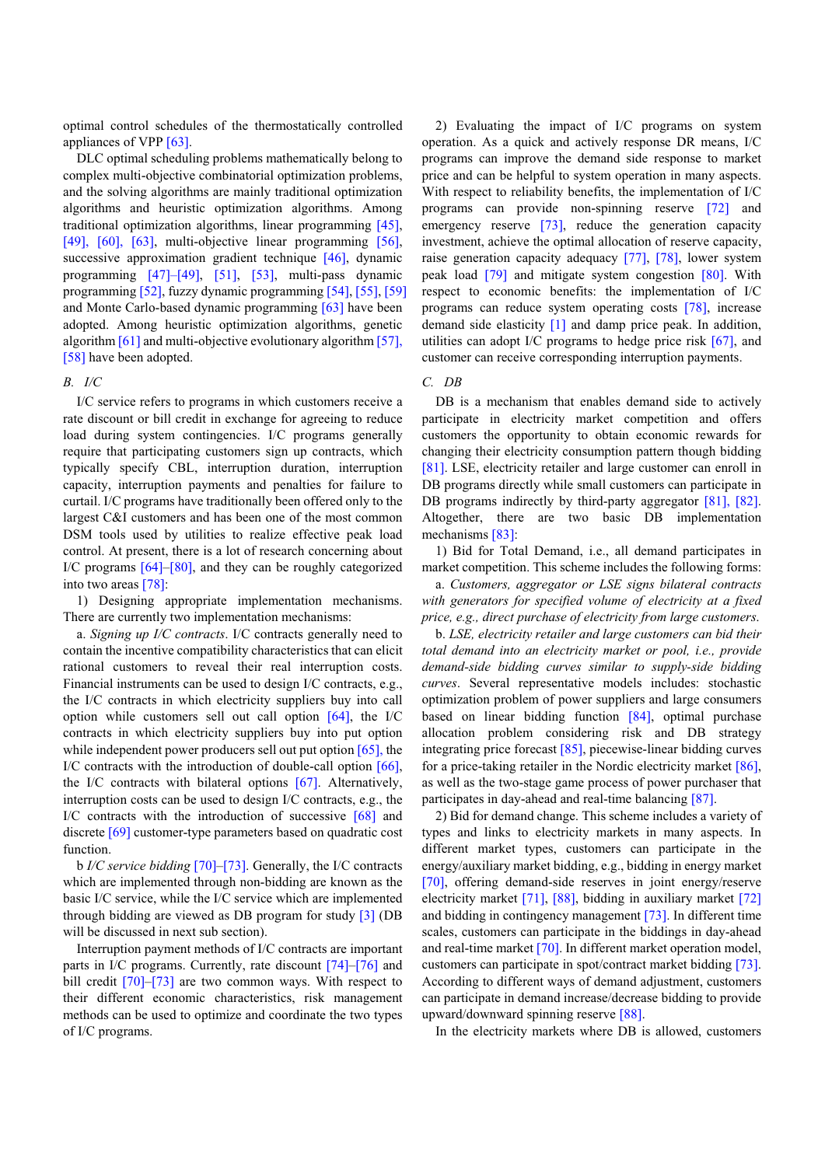optimal control schedules of the thermostatically controlled appliances of VPP [63].

DLC optimal scheduling problems mathematically belong to complex multi-objective combinatorial optimization problems, and the solving algorithms are mainly traditional optimization algorithms and heuristic optimization algorithms. Among traditional optimization algorithms, linear programming [45], [49], [60], [63], multi-objective linear programming [56], successive approximation gradient technique [46], dynamic programming [47]–[49], [51], [53], multi-pass dynamic programming [52], fuzzy dynamic programming [54], [55], [59] and Monte Carlo-based dynamic programming [63] have been adopted. Among heuristic optimization algorithms, genetic algorithm [61] and multi-objective evolutionary algorithm [57], [58] have been adopted.

### *B. I/C*

I/C service refers to programs in which customers receive a rate discount or bill credit in exchange for agreeing to reduce load during system contingencies. I/C programs generally require that participating customers sign up contracts, which typically specify CBL, interruption duration, interruption capacity, interruption payments and penalties for failure to curtail. I/C programs have traditionally been offered only to the largest C&I customers and has been one of the most common DSM tools used by utilities to realize effective peak load control. At present, there is a lot of research concerning about I/C programs [64]–[80], and they can be roughly categorized into two areas [78]:

1) Designing appropriate implementation mechanisms. There are currently two implementation mechanisms:

a. *Signing up I/C contracts*. I/C contracts generally need to contain the incentive compatibility characteristics that can elicit rational customers to reveal their real interruption costs. Financial instruments can be used to design I/C contracts, e.g., the I/C contracts in which electricity suppliers buy into call option while customers sell out call option [64], the I/C contracts in which electricity suppliers buy into put option while independent power producers sell out put option  $[65]$ , the I/C contracts with the introduction of double-call option [66], the I/C contracts with bilateral options [67]. Alternatively, interruption costs can be used to design I/C contracts, e.g., the I/C contracts with the introduction of successive [68] and discrete [69] customer-type parameters based on quadratic cost function.

b *I/C service bidding* [70]–[73]. Generally, the I/C contracts which are implemented through non-bidding are known as the basic I/C service, while the I/C service which are implemented through bidding are viewed as DB program for study [3] (DB will be discussed in next sub section).

Interruption payment methods of I/C contracts are important parts in I/C programs. Currently, rate discount [74]–[76] and bill credit [70]–[73] are two common ways. With respect to their different economic characteristics, risk management methods can be used to optimize and coordinate the two types of I/C programs.

2) Evaluating the impact of I/C programs on system operation. As a quick and actively response DR means, I/C programs can improve the demand side response to market price and can be helpful to system operation in many aspects. With respect to reliability benefits, the implementation of I/C programs can provide non-spinning reserve [72] and emergency reserve [73], reduce the generation capacity investment, achieve the optimal allocation of reserve capacity, raise generation capacity adequacy [77], [78], lower system peak load [79] and mitigate system congestion [80]. With respect to economic benefits: the implementation of I/C programs can reduce system operating costs [78], increase demand side elasticity [1] and damp price peak. In addition, utilities can adopt I/C programs to hedge price risk [67], and customer can receive corresponding interruption payments.

## *C. DB*

DB is a mechanism that enables demand side to actively participate in electricity market competition and offers customers the opportunity to obtain economic rewards for changing their electricity consumption pattern though bidding [81]. LSE, electricity retailer and large customer can enroll in DB programs directly while small customers can participate in DB programs indirectly by third-party aggregator [81], [82]. Altogether, there are two basic DB implementation mechanisms [83]:

1) Bid for Total Demand, i.e., all demand participates in market competition. This scheme includes the following forms:

a. *Customers, aggregator or LSE signs bilateral contracts with generators for specified volume of electricity at a fixed price, e.g., direct purchase of electricity from large customers*.

b. *LSE, electricity retailer and large customers can bid their total demand into an electricity market or pool, i.e., provide demand-side bidding curves similar to supply-side bidding curves*. Several representative models includes: stochastic optimization problem of power suppliers and large consumers based on linear bidding function [84], optimal purchase allocation problem considering risk and DB strategy integrating price forecast [85], piecewise-linear bidding curves for a price-taking retailer in the Nordic electricity market [86], as well as the two-stage game process of power purchaser that participates in day-ahead and real-time balancing [87].

2) Bid for demand change. This scheme includes a variety of types and links to electricity markets in many aspects. In different market types, customers can participate in the energy/auxiliary market bidding, e.g., bidding in energy market [70], offering demand-side reserves in joint energy/reserve electricity market [71], [88], bidding in auxiliary market [72] and bidding in contingency management [73]. In different time scales, customers can participate in the biddings in day-ahead and real-time market [70]. In different market operation model, customers can participate in spot/contract market bidding [73]. According to different ways of demand adjustment, customers can participate in demand increase/decrease bidding to provide upward/downward spinning reserve [88].

In the electricity markets where DB is allowed, customers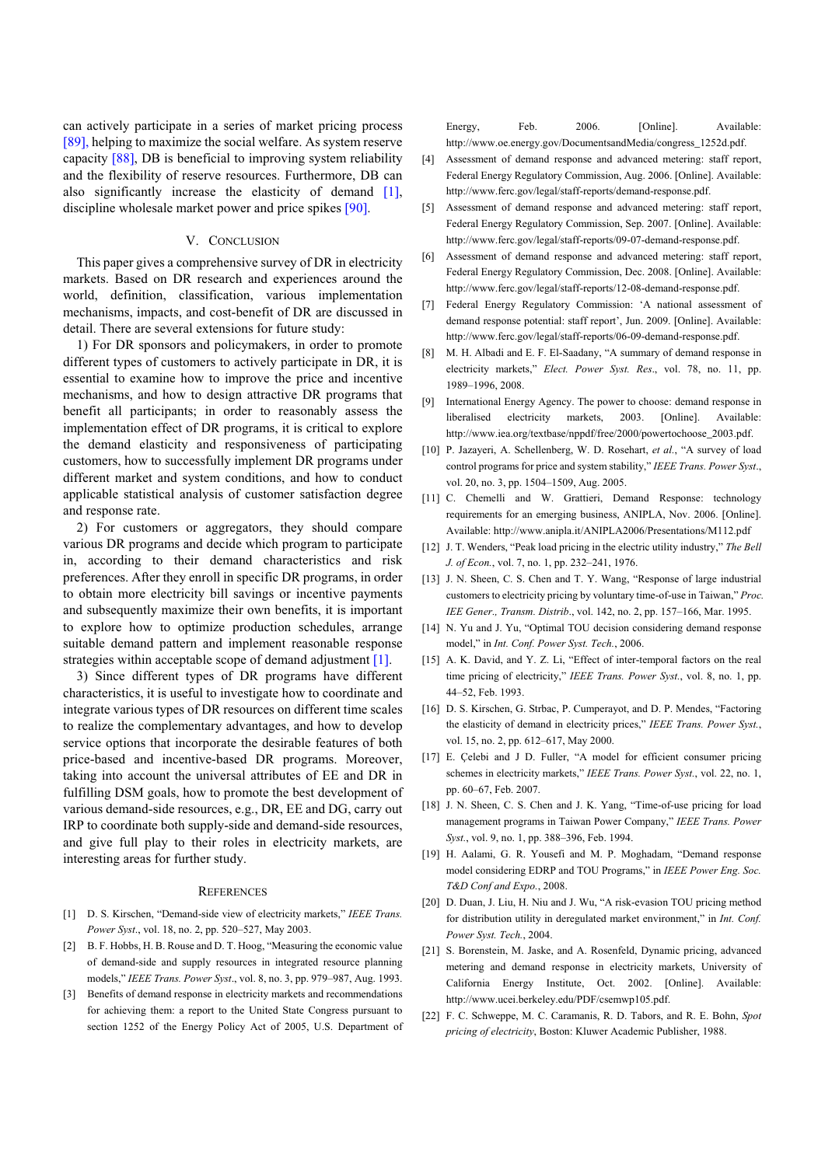can actively participate in a series of market pricing process [89], helping to maximize the social welfare. As system reserve capacity [88], DB is beneficial to improving system reliability and the flexibility of reserve resources. Furthermore, DB can also significantly increase the elasticity of demand [1], discipline wholesale market power and price spikes [90].

#### V. CONCLUSION

This paper gives a comprehensive survey of DR in electricity markets. Based on DR research and experiences around the world, definition, classification, various implementation mechanisms, impacts, and cost-benefit of DR are discussed in detail. There are several extensions for future study:

1) For DR sponsors and policymakers, in order to promote different types of customers to actively participate in DR, it is essential to examine how to improve the price and incentive mechanisms, and how to design attractive DR programs that benefit all participants; in order to reasonably assess the implementation effect of DR programs, it is critical to explore the demand elasticity and responsiveness of participating customers, how to successfully implement DR programs under different market and system conditions, and how to conduct applicable statistical analysis of customer satisfaction degree and response rate.

2) For customers or aggregators, they should compare various DR programs and decide which program to participate in, according to their demand characteristics and risk preferences. After they enroll in specific DR programs, in order to obtain more electricity bill savings or incentive payments and subsequently maximize their own benefits, it is important to explore how to optimize production schedules, arrange suitable demand pattern and implement reasonable response strategies within acceptable scope of demand adjustment [1].

3) Since different types of DR programs have different characteristics, it is useful to investigate how to coordinate and integrate various types of DR resources on different time scales to realize the complementary advantages, and how to develop service options that incorporate the desirable features of both price-based and incentive-based DR programs. Moreover, taking into account the universal attributes of EE and DR in fulfilling DSM goals, how to promote the best development of various demand-side resources, e.g., DR, EE and DG, carry out IRP to coordinate both supply-side and demand-side resources, and give full play to their roles in electricity markets, are interesting areas for further study.

#### **REFERENCES**

- [1] D. S. Kirschen, "Demand-side view of electricity markets," *IEEE Trans. Power Syst*., vol. 18, no. 2, pp. 520–527, May 2003.
- [2] B. F. Hobbs, H. B. Rouse and D. T. Hoog, "Measuring the economic value of demand-side and supply resources in integrated resource planning models," *IEEE Trans. Power Syst*., vol. 8, no. 3, pp. 979–987, Aug. 1993.
- [3] Benefits of demand response in electricity markets and recommendations for achieving them: a report to the United State Congress pursuant to section 1252 of the Energy Policy Act of 2005, U.S. Department of

Energy, Feb. 2006. [Online]. Available: http://www.oe.energy.gov/DocumentsandMedia/congress\_1252d.pdf.

- [4] Assessment of demand response and advanced metering: staff report, Federal Energy Regulatory Commission, Aug. 2006. [Online]. Available: http://www.ferc.gov/legal/staff-reports/demand-response.pdf.
- [5] Assessment of demand response and advanced metering: staff report, Federal Energy Regulatory Commission, Sep. 2007. [Online]. Available: http://www.ferc.gov/legal/staff-reports/09-07-demand-response.pdf.
- [6] Assessment of demand response and advanced metering: staff report, Federal Energy Regulatory Commission, Dec. 2008. [Online]. Available: http://www.ferc.gov/legal/staff-reports/12-08-demand-response.pdf.
- [7] Federal Energy Regulatory Commission: 'A national assessment of demand response potential: staff report', Jun. 2009. [Online]. Available: http://www.ferc.gov/legal/staff-reports/06-09-demand-response.pdf.
- [8] M. H. Albadi and E. F. El-Saadany, "A summary of demand response in electricity markets," *Elect. Power Syst. Res*., vol. 78, no. 11, pp. 1989–1996, 2008.
- [9] International Energy Agency. The power to choose: demand response in liberalised electricity markets, 2003. [Online]. Available: http://www.iea.org/textbase/nppdf/free/2000/powertochoose\_2003.pdf.
- [10] P. Jazayeri, A. Schellenberg, W. D. Rosehart, *et al.*, "A survey of load control programs for price and system stability," *IEEE Trans. Power Syst*., vol. 20, no. 3, pp. 1504–1509, Aug. 2005.
- [11] C. Chemelli and W. Grattieri, Demand Response: technology requirements for an emerging business, ANIPLA, Nov. 2006. [Online]. Available: http://www.anipla.it/ANIPLA2006/Presentations/M112.pdf
- [12] J. T. Wenders, "Peak load pricing in the electric utility industry," *The Bell J. of Econ.*, vol. 7, no. 1, pp. 232–241, 1976.
- [13] J. N. Sheen, C. S. Chen and T. Y. Wang, "Response of large industrial customers to electricity pricing by voluntary time-of-use in Taiwan," *Proc. IEE Gener., Transm. Distrib*., vol. 142, no. 2, pp. 157–166, Mar. 1995.
- [14] N. Yu and J. Yu, "Optimal TOU decision considering demand response model," in *Int. Conf. Power Syst. Tech.*, 2006.
- [15] A. K. David, and Y. Z. Li, "Effect of inter-temporal factors on the real time pricing of electricity," *IEEE Trans. Power Syst.*, vol. 8, no. 1, pp. 44–52, Feb. 1993.
- [16] D. S. Kirschen, G. Strbac, P. Cumperayot, and D. P. Mendes, "Factoring the elasticity of demand in electricity prices," *IEEE Trans. Power Syst.*, vol. 15, no. 2, pp. 612–617, May 2000.
- [17] E. Çelebi and J D. Fuller, "A model for efficient consumer pricing schemes in electricity markets," *IEEE Trans. Power Syst.*, vol. 22, no. 1, pp. 60–67, Feb. 2007.
- [18] J. N. Sheen, C. S. Chen and J. K. Yang, "Time-of-use pricing for load management programs in Taiwan Power Company," *IEEE Trans. Power Syst.*, vol. 9, no. 1, pp. 388–396, Feb. 1994.
- [19] H. Aalami, G. R. Yousefi and M. P. Moghadam, "Demand response model considering EDRP and TOU Programs," in *IEEE Power Eng. Soc. T&D Conf and Expo.*, 2008.
- [20] D. Duan, J. Liu, H. Niu and J. Wu, "A risk-evasion TOU pricing method for distribution utility in deregulated market environment," in *Int. Conf. Power Syst. Tech.*, 2004.
- [21] S. Borenstein, M. Jaske, and A. Rosenfeld, Dynamic pricing, advanced metering and demand response in electricity markets, University of California Energy Institute, Oct. 2002. [Online]. Available: http://www.ucei.berkeley.edu/PDF/csemwp105.pdf.
- [22] F. C. Schweppe, M. C. Caramanis, R. D. Tabors, and R. E. Bohn, *Spot pricing of electricity*, Boston: Kluwer Academic Publisher, 1988.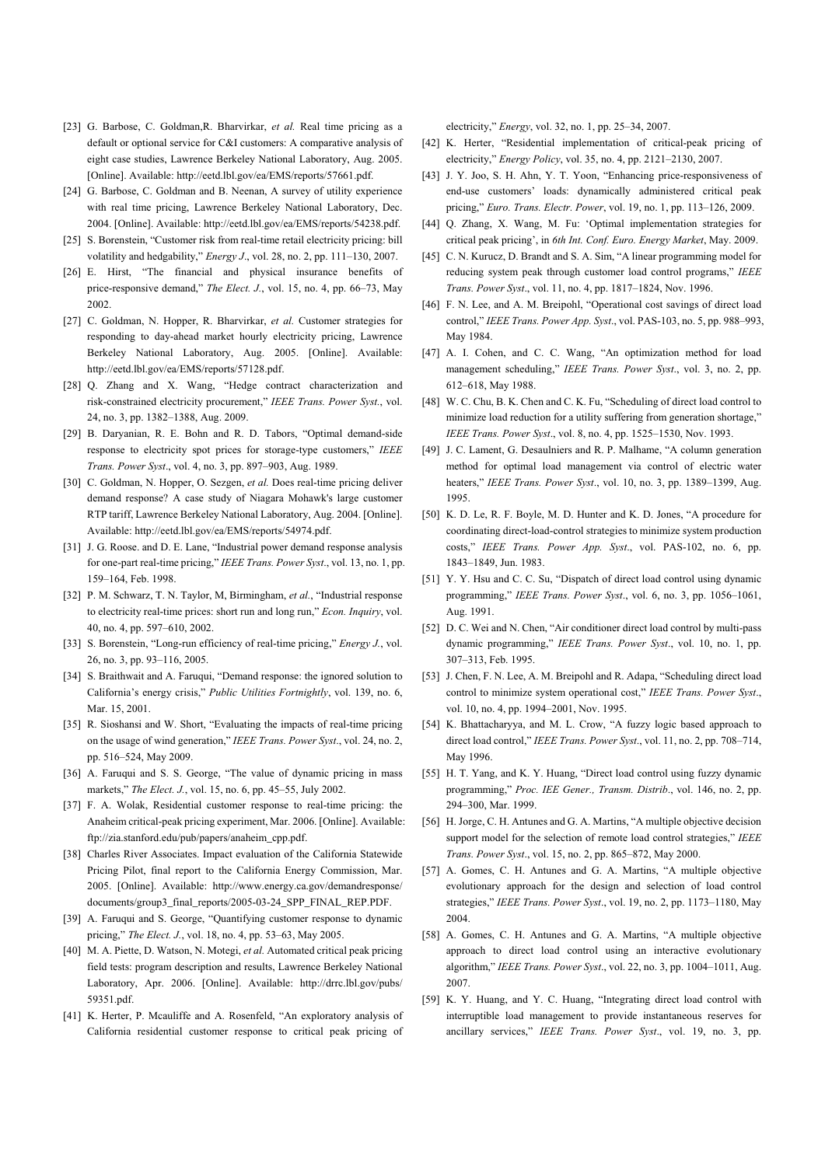- [23] G. Barbose, C. Goldman,R. Bharvirkar, *et al.* Real time pricing as a default or optional service for C&I customers: A comparative analysis of eight case studies, Lawrence Berkeley National Laboratory, Aug. 2005. [Online]. Available: http://eetd.lbl.gov/ea/EMS/reports/57661.pdf.
- [24] G. Barbose, C. Goldman and B. Neenan, A survey of utility experience with real time pricing, Lawrence Berkeley National Laboratory, Dec. 2004. [Online]. Available: http://eetd.lbl.gov/ea/EMS/reports/54238.pdf.
- [25] S. Borenstein, "Customer risk from real-time retail electricity pricing: bill volatility and hedgability," *Energy J*., vol. 28, no. 2, pp. 111–130, 2007.
- [26] E. Hirst, "The financial and physical insurance benefits of price-responsive demand," *The Elect. J.*, vol. 15, no. 4, pp. 66–73, May 2002.
- [27] C. Goldman, N. Hopper, R. Bharvirkar, *et al.* Customer strategies for responding to day-ahead market hourly electricity pricing, Lawrence Berkeley National Laboratory, Aug. 2005. [Online]. Available: http://eetd.lbl.gov/ea/EMS/reports/57128.pdf.
- [28] Q. Zhang and X. Wang, "Hedge contract characterization and risk-constrained electricity procurement," *IEEE Trans. Power Syst.*, vol. 24, no. 3, pp. 1382–1388, Aug. 2009.
- [29] B. Daryanian, R. E. Bohn and R. D. Tabors, "Optimal demand-side response to electricity spot prices for storage-type customers," *IEEE Trans. Power Syst*., vol. 4, no. 3, pp. 897–903, Aug. 1989.
- [30] C. Goldman, N. Hopper, O. Sezgen, *et al.* Does real-time pricing deliver demand response? A case study of Niagara Mohawk's large customer RTP tariff, Lawrence Berkeley National Laboratory, Aug. 2004. [Online]. Available: http://eetd.lbl.gov/ea/EMS/reports/54974.pdf.
- [31] J. G. Roose. and D. E. Lane, "Industrial power demand response analysis for one-part real-time pricing," *IEEE Trans. Power Syst*., vol. 13, no. 1, pp. 159–164, Feb. 1998.
- [32] P. M. Schwarz, T. N. Taylor, M, Birmingham, *et al.*, "Industrial response to electricity real-time prices: short run and long run," *Econ. Inquiry*, vol. 40, no. 4, pp. 597–610, 2002.
- [33] S. Borenstein, "Long-run efficiency of real-time pricing," *Energy J.*, vol. 26, no. 3, pp. 93–116, 2005.
- [34] S. Braithwait and A. Faruqui, "Demand response: the ignored solution to California's energy crisis," *Public Utilities Fortnightly*, vol. 139, no. 6, Mar. 15, 2001.
- [35] R. Sioshansi and W. Short, "Evaluating the impacts of real-time pricing on the usage of wind generation," *IEEE Trans. Power Syst*., vol. 24, no. 2, pp. 516–524, May 2009.
- [36] A. Faruqui and S. S. George, "The value of dynamic pricing in mass markets," *The Elect. J.*, vol. 15, no. 6, pp. 45–55, July 2002.
- [37] F. A. Wolak, Residential customer response to real-time pricing: the Anaheim critical-peak pricing experiment, Mar. 2006. [Online]. Available: ftp://zia.stanford.edu/pub/papers/anaheim\_cpp.pdf.
- [38] Charles River Associates. Impact evaluation of the California Statewide Pricing Pilot, final report to the California Energy Commission, Mar. 2005. [Online]. Available: http://www.energy.ca.gov/demandresponse/ documents/group3\_final\_reports/2005-03-24\_SPP\_FINAL\_REP.PDF.
- [39] A. Faruqui and S. George, "Quantifying customer response to dynamic pricing," *The Elect. J.*, vol. 18, no. 4, pp. 53–63, May 2005.
- [40] M. A. Piette, D. Watson, N. Motegi, *et al.* Automated critical peak pricing field tests: program description and results, Lawrence Berkeley National Laboratory, Apr. 2006. [Online]. Available: http://drrc.lbl.gov/pubs/ 59351.pdf.
- [41] K. Herter, P. Mcauliffe and A. Rosenfeld, "An exploratory analysis of California residential customer response to critical peak pricing of

electricity," *Energy*, vol. 32, no. 1, pp. 25–34, 2007.

- [42] K. Herter, "Residential implementation of critical-peak pricing of electricity," *Energy Policy*, vol. 35, no. 4, pp. 2121–2130, 2007.
- [43] J. Y. Joo, S. H. Ahn, Y. T. Yoon, "Enhancing price-responsiveness of end-use customers' loads: dynamically administered critical peak pricing," *Euro. Trans. Electr. Power*, vol. 19, no. 1, pp. 113–126, 2009.
- [44] Q. Zhang, X. Wang, M. Fu: 'Optimal implementation strategies for critical peak pricing', in *6th Int. Conf. Euro. Energy Market*, May. 2009.
- [45] C. N. Kurucz, D. Brandt and S. A. Sim, "A linear programming model for reducing system peak through customer load control programs," *IEEE Trans. Power Syst*., vol. 11, no. 4, pp. 1817–1824, Nov. 1996.
- [46] F. N. Lee, and A. M. Breipohl, "Operational cost savings of direct load control," *IEEE Trans. Power App. Syst*., vol. PAS-103, no. 5, pp. 988–993, May 1984.
- [47] A. I. Cohen, and C. C. Wang, "An optimization method for load management scheduling," *IEEE Trans. Power Syst*., vol. 3, no. 2, pp. 612–618, May 1988.
- [48] W. C. Chu, B. K. Chen and C. K. Fu, "Scheduling of direct load control to minimize load reduction for a utility suffering from generation shortage," *IEEE Trans. Power Syst*., vol. 8, no. 4, pp. 1525–1530, Nov. 1993.
- [49] J. C. Lament, G. Desaulniers and R. P. Malhame, "A column generation method for optimal load management via control of electric water heaters," *IEEE Trans. Power Syst*., vol. 10, no. 3, pp. 1389–1399, Aug. 1995.
- [50] K. D. Le, R. F. Boyle, M. D. Hunter and K. D. Jones, "A procedure for coordinating direct-load-control strategies to minimize system production costs," *IEEE Trans. Power App. Syst*., vol. PAS-102, no. 6, pp. 1843–1849, Jun. 1983.
- [51] Y. Y. Hsu and C. C. Su, "Dispatch of direct load control using dynamic programming," *IEEE Trans. Power Syst*., vol. 6, no. 3, pp. 1056–1061, Aug. 1991.
- [52] D. C. Wei and N. Chen, "Air conditioner direct load control by multi-pass dynamic programming," *IEEE Trans. Power Syst*., vol. 10, no. 1, pp. 307–313, Feb. 1995.
- [53] J. Chen, F. N. Lee, A. M. Breipohl and R. Adapa, "Scheduling direct load control to minimize system operational cost," *IEEE Trans. Power Syst*., vol. 10, no. 4, pp. 1994–2001, Nov. 1995.
- [54] K. Bhattacharyya, and M. L. Crow, "A fuzzy logic based approach to direct load control," *IEEE Trans. Power Syst*., vol. 11, no. 2, pp. 708–714, May 1996.
- [55] H. T. Yang, and K. Y. Huang, "Direct load control using fuzzy dynamic programming," *Proc. IEE Gener., Transm. Distrib*., vol. 146, no. 2, pp. 294–300, Mar. 1999.
- [56] H. Jorge, C. H. Antunes and G. A. Martins, "A multiple objective decision support model for the selection of remote load control strategies," *IEEE Trans. Power Syst*., vol. 15, no. 2, pp. 865–872, May 2000.
- [57] A. Gomes, C. H. Antunes and G. A. Martins, "A multiple objective evolutionary approach for the design and selection of load control strategies," *IEEE Trans. Power Syst*., vol. 19, no. 2, pp. 1173–1180, May 2004.
- [58] A. Gomes, C. H. Antunes and G. A. Martins, "A multiple objective approach to direct load control using an interactive evolutionary algorithm," *IEEE Trans. Power Syst*., vol. 22, no. 3, pp. 1004–1011, Aug. 2007.
- [59] K. Y. Huang, and Y. C. Huang, "Integrating direct load control with interruptible load management to provide instantaneous reserves for ancillary services," *IEEE Trans. Power Syst*., vol. 19, no. 3, pp.